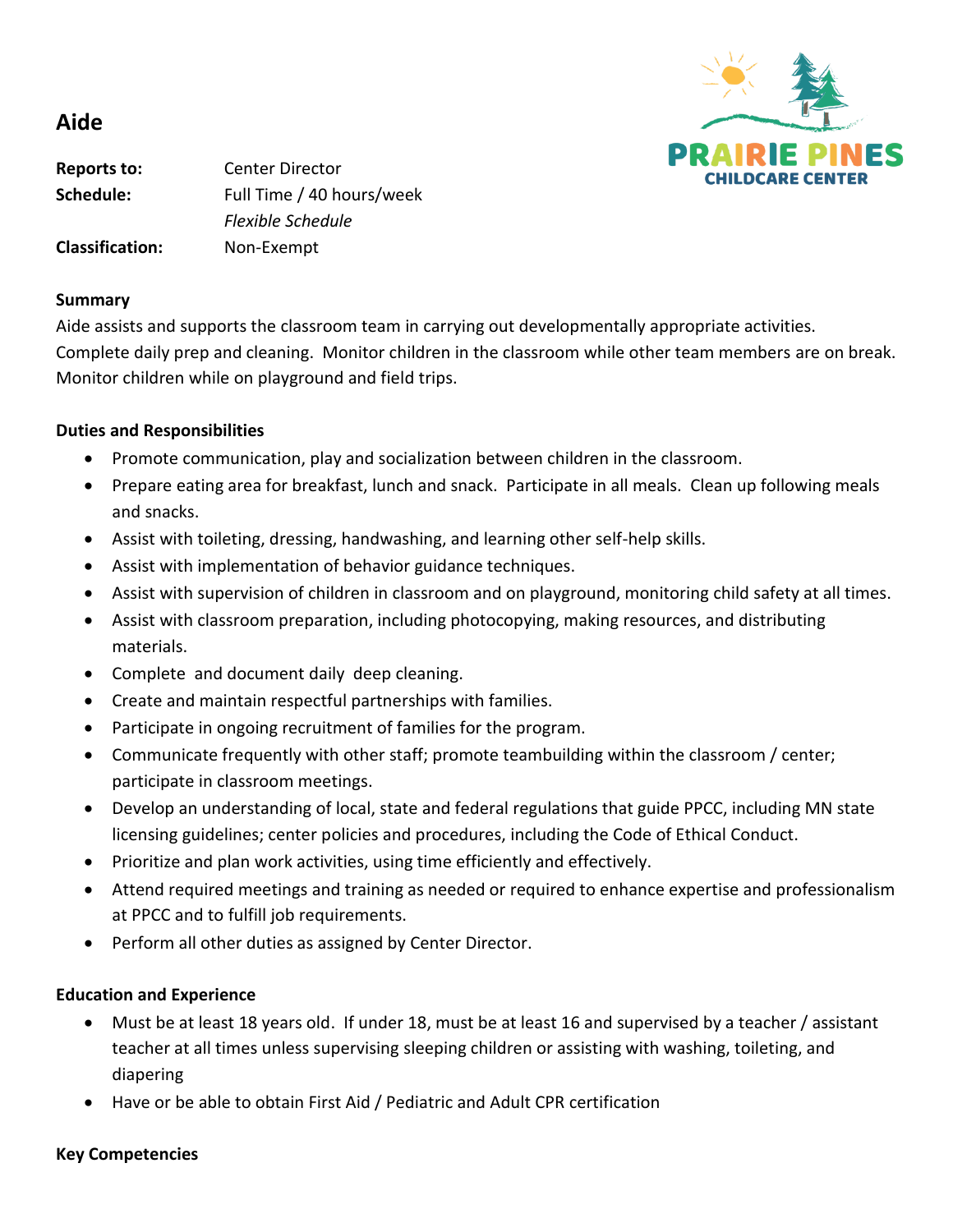

# **Aide**

**Reports to:** Center Director **Schedule:** Full Time / 40 hours/week *Flexible Schedule* **Classification:** Non-Exempt

#### **Summary**

Aide assists and supports the classroom team in carrying out developmentally appropriate activities. Complete daily prep and cleaning. Monitor children in the classroom while other team members are on break. Monitor children while on playground and field trips.

## **Duties and Responsibilities**

- Promote communication, play and socialization between children in the classroom.
- Prepare eating area for breakfast, lunch and snack. Participate in all meals. Clean up following meals and snacks.
- Assist with toileting, dressing, handwashing, and learning other self-help skills.
- Assist with implementation of behavior guidance techniques.
- Assist with supervision of children in classroom and on playground, monitoring child safety at all times.
- Assist with classroom preparation, including photocopying, making resources, and distributing materials.
- Complete and document daily deep cleaning.
- Create and maintain respectful partnerships with families.
- Participate in ongoing recruitment of families for the program.
- Communicate frequently with other staff; promote teambuilding within the classroom / center; participate in classroom meetings.
- Develop an understanding of local, state and federal regulations that guide PPCC, including MN state licensing guidelines; center policies and procedures, including the Code of Ethical Conduct.
- Prioritize and plan work activities, using time efficiently and effectively.
- Attend required meetings and training as needed or required to enhance expertise and professionalism at PPCC and to fulfill job requirements.
- Perform all other duties as assigned by Center Director.

### **Education and Experience**

- Must be at least 18 years old. If under 18, must be at least 16 and supervised by a teacher / assistant teacher at all times unless supervising sleeping children or assisting with washing, toileting, and diapering
- Have or be able to obtain First Aid / Pediatric and Adult CPR certification

### **Key Competencies**